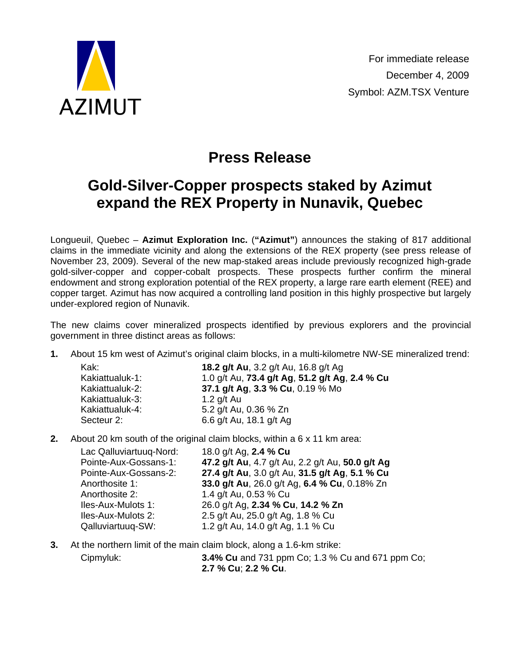

## **Press Release**

## **Gold-Silver-Copper prospects staked by Azimut expand the REX Property in Nunavik, Quebec**

Longueuil, Quebec – **Azimut Exploration Inc.** (**"Azimut"**) announces the staking of 817 additional claims in the immediate vicinity and along the extensions of the REX property (see press release of November 23, 2009). Several of the new map-staked areas include previously recognized high-grade gold-silver-copper and copper-cobalt prospects. These prospects further confirm the mineral endowment and strong exploration potential of the REX property, a large rare earth element (REE) and copper target. Azimut has now acquired a controlling land position in this highly prospective but largely under-explored region of Nunavik.

The new claims cover mineralized prospects identified by previous explorers and the provincial government in three distinct areas as follows:

**1.** About 15 km west of Azimut's original claim blocks, in a multi-kilometre NW-SE mineralized trend:

| Kak:            | 18.2 g/t Au, 3.2 g/t Au, 16.8 g/t Ag           |
|-----------------|------------------------------------------------|
| Kakiattualuk-1: | 1.0 g/t Au, 73.4 g/t Ag, 51.2 g/t Ag, 2.4 % Cu |
| Kakiattualuk-2: | 37.1 g/t Ag, 3.3 % Cu, 0.19 % Mo               |
| Kakiattualuk-3: | 1.2 $q/t$ Au                                   |
| Kakiattualuk-4: | 5.2 g/t Au, 0.36 % Zn                          |
| Secteur 2:      | 6.6 g/t Au, 18.1 g/t Ag                        |

**2.** About 20 km south of the original claim blocks, within a 6 x 11 km area:

Lac Qalluviartuuq-Nord: 18.0 g/t Ag, **2.4 % Cu** Pointe-Aux-Gossans-1: **47.2 g/t Au**, 4.7 g/t Au, 2.2 g/t Au, **50.0 g/t Ag** Pointe-Aux-Gossans-2: **27.4 g/t Au**, 3.0 g/t Au, **31.5 g/t Ag**, **5.1 % Cu** Anorthosite 1: **33.0 g/t Au**, 26.0 g/t Ag, **6.4 % Cu**, 0.18% Zn Anorthosite 2: 1.4 g/t Au, 0.53 % Cu Iles-Aux-Mulots 1: 26.0 g/t Ag, **2.34 % Cu**, **14.2 % Zn** Iles-Aux-Mulots 2: 2.5 g/t Au, 25.0 g/t Ag, 1.8 % Cu Qalluviartuuq-SW: 1.2 g/t Au, 14.0 g/t Ag, 1.1 % Cu

**3.** At the northern limit of the main claim block, along a 1.6-km strike: Cipmyluk: **3.4% Cu** and 731 ppm Co; 1.3 % Cu and 671 ppm Co;

**2.7 % Cu**; **2.2 % Cu**.